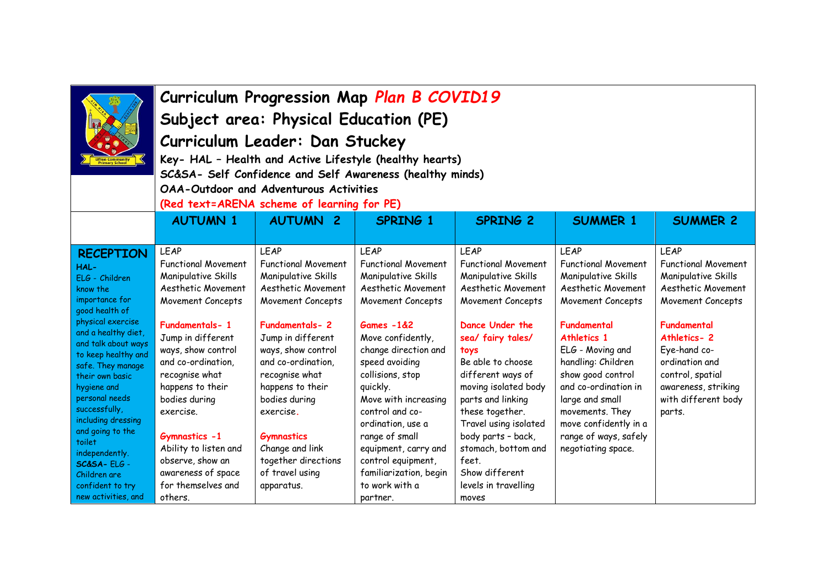|                                                                                                                                                                                                                                                                                                                          | Curriculum Progression Map Plan B COVID19<br>Subject area: Physical Education (PE)<br>Curriculum Leader: Dan Stuckey<br>Key- HAL - Health and Active Lifestyle (healthy hearts)<br>SC&SA- Self Confidence and Self Awareness (healthy minds)<br><b>OAA-Outdoor and Adventurous Activities</b><br>(Red text=ARENA scheme of learning for PE) |                                                                                                                                                                                                                                                                                         |                                                                                                                                                                                                                                                                                                              |                                                                                                                                                                                                                                                                                                                      |                                                                                                                                                                                                                                                                                                                          |                                                                                                                                                                                                                                                         |  |
|--------------------------------------------------------------------------------------------------------------------------------------------------------------------------------------------------------------------------------------------------------------------------------------------------------------------------|---------------------------------------------------------------------------------------------------------------------------------------------------------------------------------------------------------------------------------------------------------------------------------------------------------------------------------------------|-----------------------------------------------------------------------------------------------------------------------------------------------------------------------------------------------------------------------------------------------------------------------------------------|--------------------------------------------------------------------------------------------------------------------------------------------------------------------------------------------------------------------------------------------------------------------------------------------------------------|----------------------------------------------------------------------------------------------------------------------------------------------------------------------------------------------------------------------------------------------------------------------------------------------------------------------|--------------------------------------------------------------------------------------------------------------------------------------------------------------------------------------------------------------------------------------------------------------------------------------------------------------------------|---------------------------------------------------------------------------------------------------------------------------------------------------------------------------------------------------------------------------------------------------------|--|
|                                                                                                                                                                                                                                                                                                                          | <b>AUTUMN 1</b>                                                                                                                                                                                                                                                                                                                             | <b>AUTUMN</b><br>$\overline{2}$                                                                                                                                                                                                                                                         | <b>SPRING 1</b>                                                                                                                                                                                                                                                                                              | <b>SPRING 2</b>                                                                                                                                                                                                                                                                                                      | <b>SUMMER 1</b>                                                                                                                                                                                                                                                                                                          | <b>SUMMER 2</b>                                                                                                                                                                                                                                         |  |
| <b>RECEPTION</b><br>HAL-<br>ELG - Children<br>know the<br>importance for<br>good health of<br>physical exercise<br>and a healthy diet,<br>and talk about ways<br>to keep healthy and<br>safe. They manage<br>their own basic<br>hygiene and<br>personal needs<br>successfully,<br>including dressing<br>and going to the | <b>LEAP</b><br><b>Functional Movement</b><br>Manipulative Skills<br>Aesthetic Movement<br>Movement Concepts<br>Fundamentals-1<br>Jump in different<br>ways, show control<br>and co-ordination,<br>recognise what<br>happens to their<br>bodies during<br>exercise.<br>Gymnastics -1                                                         | <b>LEAP</b><br><b>Functional Movement</b><br>Manipulative Skills<br>Aesthetic Movement<br>Movement Concepts<br>Fundamentals-2<br>Jump in different<br>ways, show control<br>and co-ordination,<br>recognise what<br>happens to their<br>bodies during<br>exercise.<br><b>Gymnastics</b> | <b>LEAP</b><br><b>Functional Movement</b><br>Manipulative Skills<br>Aesthetic Movement<br>Movement Concepts<br>$Games -182$<br>Move confidently,<br>change direction and<br>speed avoiding<br>collisions, stop<br>quickly.<br>Move with increasing<br>control and co-<br>ordination, use a<br>range of small | <b>LEAP</b><br><b>Functional Movement</b><br>Manipulative Skills<br>Aesthetic Movement<br>Movement Concepts<br>Dance Under the<br>sea/ fairy tales/<br>toys<br>Be able to choose<br>different ways of<br>moving isolated body<br>parts and linking<br>these together.<br>Travel using isolated<br>body parts - back, | <b>LEAP</b><br><b>Functional Movement</b><br>Manipulative Skills<br>Aesthetic Movement<br>Movement Concepts<br>Fundamental<br>Athletics 1<br>ELG - Moving and<br>handling: Children<br>show good control<br>and co-ordination in<br>large and small<br>movements. They<br>move confidently in a<br>range of ways, safely | <b>LEAP</b><br><b>Functional Movement</b><br>Manipulative Skills<br>Aesthetic Movement<br>Movement Concepts<br>Fundamental<br>Athletics-2<br>Eye-hand co-<br>ordination and<br>control, spatial<br>awareness, striking<br>with different body<br>parts. |  |
| toilet<br>independently.<br>SC&SA-ELG-<br>Children are<br>confident to try<br>new activities, and                                                                                                                                                                                                                        | Ability to listen and<br>observe, show an<br>awareness of space<br>for themselves and<br>others.                                                                                                                                                                                                                                            | Change and link<br>together directions<br>of travel using<br>apparatus.                                                                                                                                                                                                                 | equipment, carry and<br>control equipment,<br>familiarization, begin<br>to work with a<br>partner.                                                                                                                                                                                                           | stomach, bottom and<br>feet.<br>Show different<br>levels in travelling<br>moves                                                                                                                                                                                                                                      | negotiating space.                                                                                                                                                                                                                                                                                                       |                                                                                                                                                                                                                                                         |  |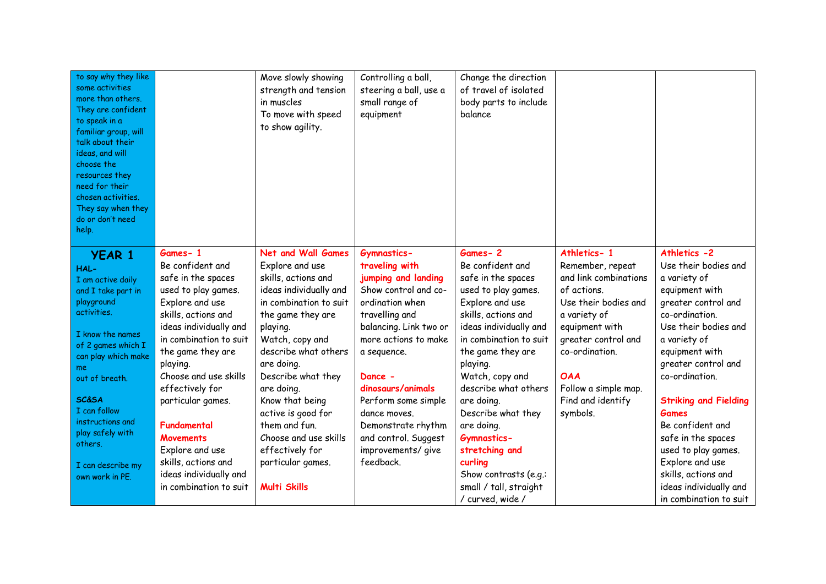| to say why they like<br>some activities<br>more than others.<br>They are confident<br>to speak in a<br>familiar group, will<br>talk about their<br>ideas, and will<br>choose the<br>resources they<br>need for their<br>chosen activities.<br>They say when they<br>do or don't need<br>help. |                             | Move slowly showing<br>strength and tension<br>in muscles<br>To move with speed<br>to show agility. | Controlling a ball,<br>steering a ball, use a<br>small range of<br>equipment | Change the direction<br>of travel of isolated<br>body parts to include<br>balance |                                 |                                              |
|-----------------------------------------------------------------------------------------------------------------------------------------------------------------------------------------------------------------------------------------------------------------------------------------------|-----------------------------|-----------------------------------------------------------------------------------------------------|------------------------------------------------------------------------------|-----------------------------------------------------------------------------------|---------------------------------|----------------------------------------------|
| <b>YEAR 1</b><br>HAL-                                                                                                                                                                                                                                                                         | Games-1<br>Be confident and | <b>Net and Wall Games</b><br>Explore and use                                                        | <b>Gymnastics-</b><br>traveling with                                         | Games-2<br>Be confident and                                                       | Athletics-1<br>Remember, repeat | Athletics -2<br>Use their bodies and         |
| I am active daily                                                                                                                                                                                                                                                                             | safe in the spaces          | skills, actions and                                                                                 | jumping and landing                                                          | safe in the spaces                                                                | and link combinations           | a variety of                                 |
| and I take part in                                                                                                                                                                                                                                                                            | used to play games.         | ideas individually and                                                                              | Show control and co-                                                         | used to play games.                                                               | of actions.                     | equipment with                               |
| playground                                                                                                                                                                                                                                                                                    | Explore and use             | in combination to suit                                                                              | ordination when                                                              | Explore and use                                                                   | Use their bodies and            | greater control and                          |
| activities.                                                                                                                                                                                                                                                                                   | skills, actions and         | the game they are                                                                                   | travelling and                                                               | skills, actions and                                                               | a variety of                    | co-ordination.                               |
| I know the names                                                                                                                                                                                                                                                                              | ideas individually and      | playing.                                                                                            | balancing. Link two or                                                       | ideas individually and                                                            | equipment with                  | Use their bodies and                         |
| of 2 games which I                                                                                                                                                                                                                                                                            | in combination to suit      | Watch, copy and                                                                                     | more actions to make                                                         | in combination to suit                                                            | greater control and             | a variety of                                 |
| can play which make                                                                                                                                                                                                                                                                           | the game they are           | describe what others                                                                                | a sequence.                                                                  | the game they are                                                                 | co-ordination.                  | equipment with                               |
| me.                                                                                                                                                                                                                                                                                           | playing.                    | are doing.                                                                                          |                                                                              | playing.                                                                          |                                 | greater control and                          |
| out of breath.                                                                                                                                                                                                                                                                                | Choose and use skills       | Describe what they                                                                                  | Dance -                                                                      | Watch, copy and                                                                   | <b>OAA</b>                      | co-ordination.                               |
| <b>SC&amp;SA</b>                                                                                                                                                                                                                                                                              | effectively for             | are doing.                                                                                          | dinosaurs/animals                                                            | describe what others                                                              | Follow a simple map.            |                                              |
| I can follow                                                                                                                                                                                                                                                                                  | particular games.           | Know that being                                                                                     | Perform some simple                                                          | are doing.                                                                        | Find and identify               | <b>Striking and Fielding</b><br><b>Games</b> |
| instructions and                                                                                                                                                                                                                                                                              | <b>Fundamental</b>          | active is good for<br>them and fun.                                                                 | dance moves.                                                                 | Describe what they<br>are doing.                                                  | symbols.                        | Be confident and                             |
| play safely with                                                                                                                                                                                                                                                                              | <b>Movements</b>            | Choose and use skills                                                                               | Demonstrate rhythm<br>and control. Suggest                                   | <b>Gymnastics-</b>                                                                |                                 | safe in the spaces                           |
| others.                                                                                                                                                                                                                                                                                       | Explore and use             | effectively for                                                                                     | improvements/ give                                                           | stretching and                                                                    |                                 | used to play games.                          |
|                                                                                                                                                                                                                                                                                               | skills, actions and         | particular games.                                                                                   | feedback.                                                                    | curling                                                                           |                                 | Explore and use                              |
| I can describe my<br>own work in PE.                                                                                                                                                                                                                                                          | ideas individually and      |                                                                                                     |                                                                              | Show contrasts (e.g.:                                                             |                                 | skills, actions and                          |
|                                                                                                                                                                                                                                                                                               | in combination to suit      | <b>Multi Skills</b>                                                                                 |                                                                              | small / tall, straight                                                            |                                 | ideas individually and                       |
|                                                                                                                                                                                                                                                                                               |                             |                                                                                                     |                                                                              | / curved, wide /                                                                  |                                 | in combination to suit                       |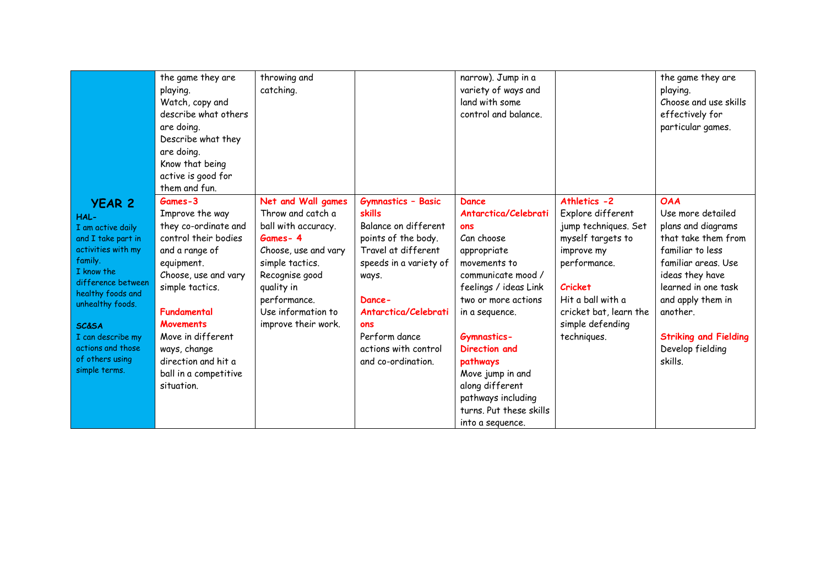|                                                                                                                                                                                                                                                                                  | the game they are<br>playing.<br>Watch, copy and<br>describe what others<br>are doing.<br>Describe what they<br>are doing.<br>Know that being<br>active is good for<br>them and fun.                                                                                                        | throwing and<br>catching.                                                                                                                                                                                         |                                                                                                                                                                                                                                                      | narrow). Jump in a<br>variety of ways and<br>land with some<br>control and balance.                                                                                                                                                                                                                                                      |                                                                                                                                                                                                                  | the game they are<br>playing.<br>Choose and use skills<br>effectively for<br>particular games.                                                                                                                                                                    |
|----------------------------------------------------------------------------------------------------------------------------------------------------------------------------------------------------------------------------------------------------------------------------------|---------------------------------------------------------------------------------------------------------------------------------------------------------------------------------------------------------------------------------------------------------------------------------------------|-------------------------------------------------------------------------------------------------------------------------------------------------------------------------------------------------------------------|------------------------------------------------------------------------------------------------------------------------------------------------------------------------------------------------------------------------------------------------------|------------------------------------------------------------------------------------------------------------------------------------------------------------------------------------------------------------------------------------------------------------------------------------------------------------------------------------------|------------------------------------------------------------------------------------------------------------------------------------------------------------------------------------------------------------------|-------------------------------------------------------------------------------------------------------------------------------------------------------------------------------------------------------------------------------------------------------------------|
| <b>YEAR 2</b><br>HAL-<br>I am active daily<br>and I take part in<br>activities with my<br>family.<br>I know the<br>difference between<br>healthy foods and<br>unhealthy foods.<br><b>SC&amp;SA</b><br>I can describe my<br>actions and those<br>of others using<br>simple terms. | Games-3<br>Improve the way<br>they co-ordinate and<br>control their bodies<br>and a range of<br>equipment.<br>Choose, use and vary<br>simple tactics.<br>Fundamental<br><b>Movements</b><br>Move in different<br>ways, change<br>direction and hit a<br>ball in a competitive<br>situation. | Net and Wall games<br>Throw and catch a<br>ball with accuracy.<br>Games-4<br>Choose, use and vary<br>simple tactics.<br>Recognise good<br>quality in<br>performance.<br>Use information to<br>improve their work. | <b>Gymnastics - Basic</b><br>skills<br>Balance on different<br>points of the body.<br>Travel at different<br>speeds in a variety of<br>ways.<br>Dance-<br>Antarctica/Celebrati<br>ons<br>Perform dance<br>actions with control<br>and co-ordination. | Dance<br>Antarctica/Celebrati<br>ons<br>Can choose<br>appropriate<br>movements to<br>communicate mood /<br>feelings / ideas Link<br>two or more actions<br>in a sequence.<br><b>Gymnastics-</b><br>Direction and<br>pathways<br>Move jump in and<br>along different<br>pathways including<br>turns. Put these skills<br>into a sequence. | Athletics -2<br>Explore different<br>jump techniques. Set<br>myself targets to<br>improve my<br>performance.<br><b>Cricket</b><br>Hit a ball with a<br>cricket bat, learn the<br>simple defending<br>techniques. | <b>OAA</b><br>Use more detailed<br>plans and diagrams<br>that take them from<br>familiar to less<br>familiar areas. Use<br>ideas they have<br>learned in one task<br>and apply them in<br>another.<br><b>Striking and Fielding</b><br>Develop fielding<br>skills. |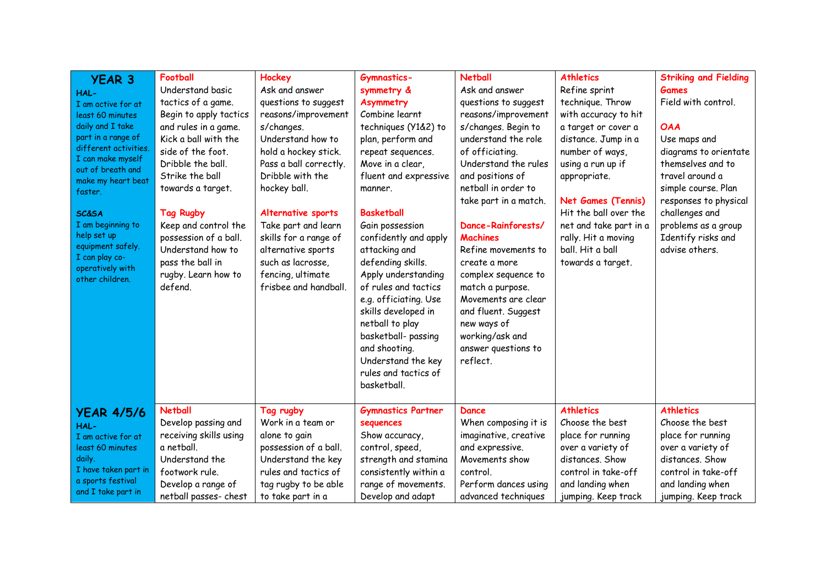| <b>YEAR 3</b><br>HAL-<br>I am active for at<br>least 60 minutes<br>daily and I take<br>part in a range of<br>different activities.<br>I can make myself<br>out of breath and<br>make my heart beat<br>faster.<br><b>SC&amp;SA</b><br>I am beginning to<br>help set up<br>equipment safely.<br>I can play co-<br>operatively with<br>other children. | <b>Football</b><br>Understand basic<br>tactics of a game.<br>Begin to apply tactics<br>and rules in a game.<br>Kick a ball with the<br>side of the foot.<br>Dribble the ball.<br>Strike the ball<br>towards a target.<br><b>Tag Rugby</b><br>Keep and control the<br>possession of a ball.<br>Understand how to<br>pass the ball in<br>rugby. Learn how to<br>defend. | <b>Hockey</b><br>Ask and answer<br>questions to suggest<br>reasons/improvement<br>s/changes.<br>Understand how to<br>hold a hockey stick.<br>Pass a ball correctly.<br>Dribble with the<br>hockey ball.<br><b>Alternative sports</b><br>Take part and learn<br>skills for a range of<br>alternative sports<br>such as lacrosse.<br>fencing, ultimate<br>frisbee and handball. | <b>Gymnastics-</b><br>symmetry &<br><b>Asymmetry</b><br>Combine learnt<br>techniques (Y1&2) to<br>plan, perform and<br>repeat sequences.<br>Move in a clear,<br>fluent and expressive<br>manner.<br><b>Basketball</b><br>Gain possession<br>confidently and apply<br>attacking and<br>defending skills.<br>Apply understanding<br>of rules and tactics<br>e.g. officiating. Use<br>skills developed in<br>netball to play<br>basketball-passing<br>and shooting.<br>Understand the key<br>rules and tactics of<br>basketball. | <b>Netball</b><br>Ask and answer<br>questions to suggest<br>reasons/improvement<br>s/changes. Begin to<br>understand the role<br>of officiating.<br>Understand the rules<br>and positions of<br>netball in order to<br>take part in a match.<br>Dance-Rainforests/<br><b>Machines</b><br>Refine movements to<br>create a more<br>complex sequence to<br>match a purpose.<br>Movements are clear<br>and fluent. Suggest<br>new ways of<br>working/ask and<br>answer questions to<br>reflect. | <b>Athletics</b><br>Refine sprint<br>technique. Throw<br>with accuracy to hit<br>a target or cover a<br>distance. Jump in a<br>number of ways,<br>using a run up if<br>appropriate.<br><b>Net Games (Tennis)</b><br>Hit the ball over the<br>net and take part in a<br>rally. Hit a moving<br>ball. Hit a ball<br>towards a target. | <b>Striking and Fielding</b><br><b>Games</b><br>Field with control.<br><b>OAA</b><br>Use maps and<br>diagrams to orientate<br>themselves and to<br>travel around a<br>simple course. Plan<br>responses to physical<br>challenges and<br>problems as a group<br>Identify risks and<br>advise others. |
|-----------------------------------------------------------------------------------------------------------------------------------------------------------------------------------------------------------------------------------------------------------------------------------------------------------------------------------------------------|-----------------------------------------------------------------------------------------------------------------------------------------------------------------------------------------------------------------------------------------------------------------------------------------------------------------------------------------------------------------------|-------------------------------------------------------------------------------------------------------------------------------------------------------------------------------------------------------------------------------------------------------------------------------------------------------------------------------------------------------------------------------|-------------------------------------------------------------------------------------------------------------------------------------------------------------------------------------------------------------------------------------------------------------------------------------------------------------------------------------------------------------------------------------------------------------------------------------------------------------------------------------------------------------------------------|---------------------------------------------------------------------------------------------------------------------------------------------------------------------------------------------------------------------------------------------------------------------------------------------------------------------------------------------------------------------------------------------------------------------------------------------------------------------------------------------|-------------------------------------------------------------------------------------------------------------------------------------------------------------------------------------------------------------------------------------------------------------------------------------------------------------------------------------|-----------------------------------------------------------------------------------------------------------------------------------------------------------------------------------------------------------------------------------------------------------------------------------------------------|
| <b>YEAR 4/5/6</b>                                                                                                                                                                                                                                                                                                                                   | <b>Netball</b>                                                                                                                                                                                                                                                                                                                                                        | Tag rugby                                                                                                                                                                                                                                                                                                                                                                     | <b>Gymnastics Partner</b>                                                                                                                                                                                                                                                                                                                                                                                                                                                                                                     | Dance                                                                                                                                                                                                                                                                                                                                                                                                                                                                                       | <b>Athletics</b>                                                                                                                                                                                                                                                                                                                    | <b>Athletics</b>                                                                                                                                                                                                                                                                                    |
| HAL-                                                                                                                                                                                                                                                                                                                                                | Develop passing and                                                                                                                                                                                                                                                                                                                                                   | Work in a team or                                                                                                                                                                                                                                                                                                                                                             | sequences                                                                                                                                                                                                                                                                                                                                                                                                                                                                                                                     | When composing it is                                                                                                                                                                                                                                                                                                                                                                                                                                                                        | Choose the best                                                                                                                                                                                                                                                                                                                     | Choose the best                                                                                                                                                                                                                                                                                     |
| I am active for at                                                                                                                                                                                                                                                                                                                                  | receiving skills using                                                                                                                                                                                                                                                                                                                                                | alone to gain                                                                                                                                                                                                                                                                                                                                                                 | Show accuracy,                                                                                                                                                                                                                                                                                                                                                                                                                                                                                                                | imaginative, creative                                                                                                                                                                                                                                                                                                                                                                                                                                                                       | place for running                                                                                                                                                                                                                                                                                                                   | place for running                                                                                                                                                                                                                                                                                   |
| least 60 minutes                                                                                                                                                                                                                                                                                                                                    | a netball.                                                                                                                                                                                                                                                                                                                                                            | possession of a ball.                                                                                                                                                                                                                                                                                                                                                         | control, speed,                                                                                                                                                                                                                                                                                                                                                                                                                                                                                                               | and expressive.                                                                                                                                                                                                                                                                                                                                                                                                                                                                             | over a variety of                                                                                                                                                                                                                                                                                                                   | over a variety of                                                                                                                                                                                                                                                                                   |
| daily.                                                                                                                                                                                                                                                                                                                                              | Understand the                                                                                                                                                                                                                                                                                                                                                        | Understand the key                                                                                                                                                                                                                                                                                                                                                            | strength and stamina                                                                                                                                                                                                                                                                                                                                                                                                                                                                                                          | Movements show                                                                                                                                                                                                                                                                                                                                                                                                                                                                              | distances. Show                                                                                                                                                                                                                                                                                                                     | distances. Show                                                                                                                                                                                                                                                                                     |
| I have taken part in                                                                                                                                                                                                                                                                                                                                | footwork rule.                                                                                                                                                                                                                                                                                                                                                        | rules and tactics of                                                                                                                                                                                                                                                                                                                                                          | consistently within a                                                                                                                                                                                                                                                                                                                                                                                                                                                                                                         | control.                                                                                                                                                                                                                                                                                                                                                                                                                                                                                    | control in take-off                                                                                                                                                                                                                                                                                                                 | control in take-off                                                                                                                                                                                                                                                                                 |
| a sports festival                                                                                                                                                                                                                                                                                                                                   | Develop a range of                                                                                                                                                                                                                                                                                                                                                    | tag rugby to be able                                                                                                                                                                                                                                                                                                                                                          | range of movements.                                                                                                                                                                                                                                                                                                                                                                                                                                                                                                           | Perform dances using                                                                                                                                                                                                                                                                                                                                                                                                                                                                        | and landing when                                                                                                                                                                                                                                                                                                                    | and landing when                                                                                                                                                                                                                                                                                    |
| and I take part in                                                                                                                                                                                                                                                                                                                                  | netball passes- chest                                                                                                                                                                                                                                                                                                                                                 | to take part in a                                                                                                                                                                                                                                                                                                                                                             | Develop and adapt                                                                                                                                                                                                                                                                                                                                                                                                                                                                                                             | advanced techniques                                                                                                                                                                                                                                                                                                                                                                                                                                                                         | jumping. Keep track                                                                                                                                                                                                                                                                                                                 | jumping. Keep track                                                                                                                                                                                                                                                                                 |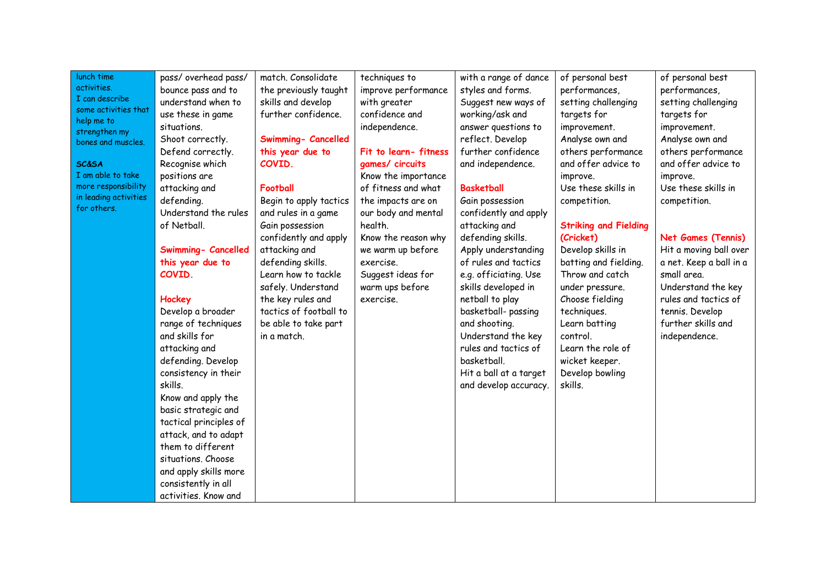| activities.<br>I can describe<br>some activities that<br>help me to<br>strengthen my<br>bones and muscles.<br><b>SC&amp;SA</b><br>I am able to take<br>more responsibility<br>in leading activities<br>for others. | pass/overhead pass/<br>bounce pass and to<br>understand when to<br>use these in game<br>situations.<br>Shoot correctly.<br>Defend correctly.<br>Recognise which<br>positions are<br>attacking and<br>defending.<br>Understand the rules<br>of Netball.<br>Swimming- Cancelled<br>this year due to<br>COVID.<br>Hockey<br>Develop a broader<br>range of techniques<br>and skills for<br>attacking and<br>defending. Develop<br>consistency in their<br>skills.<br>Know and apply the<br>basic strategic and<br>tactical principles of<br>attack, and to adapt<br>them to different<br>situations. Choose<br>and apply skills more<br>consistently in all<br>activities. Know and | match. Consolidate<br>the previously taught<br>skills and develop<br>further confidence.<br><b>Swimming- Cancelled</b><br>this year due to<br>COVID.<br>Football<br>Begin to apply tactics<br>and rules in a game<br>Gain possession<br>confidently and apply<br>attacking and<br>defending skills.<br>Learn how to tackle<br>safely. Understand<br>the key rules and<br>tactics of football to<br>be able to take part<br>in a match. | techniques to<br>improve performance<br>with greater<br>confidence and<br>independence.<br>Fit to learn-fitness<br>games/ circuits<br>Know the importance<br>of fitness and what<br>the impacts are on<br>our body and mental<br>health.<br>Know the reason why<br>we warm up before<br>exercise.<br>Suggest ideas for<br>warm ups before<br>exercise. | with a range of dance<br>styles and forms.<br>Suggest new ways of<br>working/ask and<br>answer questions to<br>reflect. Develop<br>further confidence<br>and independence.<br><b>Basketball</b><br>Gain possession<br>confidently and apply<br>attacking and<br>defending skills.<br>Apply understanding<br>of rules and tactics<br>e.g. officiating. Use<br>skills developed in<br>netball to play<br>basketball- passing<br>and shooting.<br>Understand the key<br>rules and tactics of<br>basketball.<br>Hit a ball at a target<br>and develop accuracy. | of personal best<br>performances,<br>setting challenging<br>targets for<br>improvement.<br>Analyse own and<br>others performance<br>and offer advice to<br>improve.<br>Use these skills in<br>competition.<br><b>Striking and Fielding</b><br>(Cricket)<br>Develop skills in<br>batting and fielding.<br>Throw and catch<br>under pressure.<br>Choose fielding<br>techniques.<br>Learn batting<br>control.<br>Learn the role of<br>wicket keeper.<br>Develop bowling<br>skills. | of personal best<br>performances,<br>setting challenging<br>targets for<br>improvement.<br>Analyse own and<br>others performance<br>and offer advice to<br>improve.<br>Use these skills in<br>competition.<br><b>Net Games (Tennis)</b><br>Hit a moving ball over<br>a net. Keep a ball in a<br>small area.<br>Understand the key<br>rules and tactics of<br>tennis. Develop<br>further skills and<br>independence. |
|--------------------------------------------------------------------------------------------------------------------------------------------------------------------------------------------------------------------|---------------------------------------------------------------------------------------------------------------------------------------------------------------------------------------------------------------------------------------------------------------------------------------------------------------------------------------------------------------------------------------------------------------------------------------------------------------------------------------------------------------------------------------------------------------------------------------------------------------------------------------------------------------------------------|----------------------------------------------------------------------------------------------------------------------------------------------------------------------------------------------------------------------------------------------------------------------------------------------------------------------------------------------------------------------------------------------------------------------------------------|--------------------------------------------------------------------------------------------------------------------------------------------------------------------------------------------------------------------------------------------------------------------------------------------------------------------------------------------------------|-------------------------------------------------------------------------------------------------------------------------------------------------------------------------------------------------------------------------------------------------------------------------------------------------------------------------------------------------------------------------------------------------------------------------------------------------------------------------------------------------------------------------------------------------------------|---------------------------------------------------------------------------------------------------------------------------------------------------------------------------------------------------------------------------------------------------------------------------------------------------------------------------------------------------------------------------------------------------------------------------------------------------------------------------------|---------------------------------------------------------------------------------------------------------------------------------------------------------------------------------------------------------------------------------------------------------------------------------------------------------------------------------------------------------------------------------------------------------------------|
|--------------------------------------------------------------------------------------------------------------------------------------------------------------------------------------------------------------------|---------------------------------------------------------------------------------------------------------------------------------------------------------------------------------------------------------------------------------------------------------------------------------------------------------------------------------------------------------------------------------------------------------------------------------------------------------------------------------------------------------------------------------------------------------------------------------------------------------------------------------------------------------------------------------|----------------------------------------------------------------------------------------------------------------------------------------------------------------------------------------------------------------------------------------------------------------------------------------------------------------------------------------------------------------------------------------------------------------------------------------|--------------------------------------------------------------------------------------------------------------------------------------------------------------------------------------------------------------------------------------------------------------------------------------------------------------------------------------------------------|-------------------------------------------------------------------------------------------------------------------------------------------------------------------------------------------------------------------------------------------------------------------------------------------------------------------------------------------------------------------------------------------------------------------------------------------------------------------------------------------------------------------------------------------------------------|---------------------------------------------------------------------------------------------------------------------------------------------------------------------------------------------------------------------------------------------------------------------------------------------------------------------------------------------------------------------------------------------------------------------------------------------------------------------------------|---------------------------------------------------------------------------------------------------------------------------------------------------------------------------------------------------------------------------------------------------------------------------------------------------------------------------------------------------------------------------------------------------------------------|